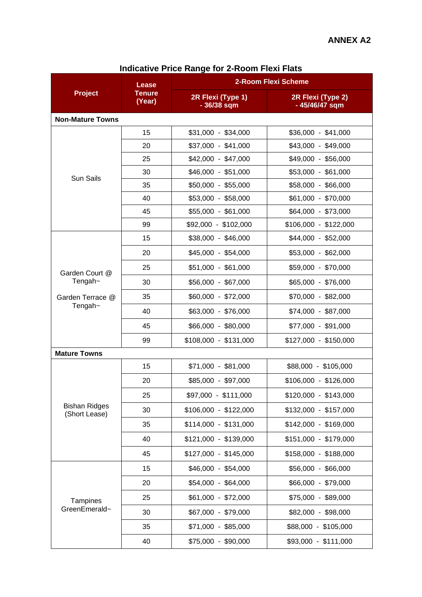| <b>Project</b>                        | Lease<br><b>Tenure</b><br>(Year) | 2-Room Flexi Scheme              |                                     |  |  |
|---------------------------------------|----------------------------------|----------------------------------|-------------------------------------|--|--|
|                                       |                                  | 2R Flexi (Type 1)<br>- 36/38 sqm | 2R Flexi (Type 2)<br>- 45/46/47 sqm |  |  |
| <b>Non-Mature Towns</b>               |                                  |                                  |                                     |  |  |
| <b>Sun Sails</b>                      | 15                               | $$31,000 - $34,000$              | $$36,000 - $41,000$                 |  |  |
|                                       | 20                               | $$37,000 - $41,000$              | \$43,000 - \$49,000                 |  |  |
|                                       | 25                               | $$42,000 - $47,000$              | \$49,000 - \$56,000                 |  |  |
|                                       | 30                               | \$46,000 - \$51,000              | \$53,000 - \$61,000                 |  |  |
|                                       | 35                               | $$50,000 - $55,000$              | \$58,000 - \$66,000                 |  |  |
|                                       | 40                               | \$53,000 - \$58,000              | \$61,000 - \$70,000                 |  |  |
|                                       | 45                               | $$55,000 - $61,000$              | \$64,000 - \$73,000                 |  |  |
|                                       | 99                               | \$92,000 - \$102,000             | $$106,000 - $122,000$               |  |  |
| Garden Court @<br>Tengah~             | 15                               | \$38,000 - \$46,000              | \$44,000 - \$52,000                 |  |  |
|                                       | 20                               | \$45,000 - \$54,000              | \$53,000 - \$62,000                 |  |  |
|                                       | 25                               | $$51,000 - $61,000$              | \$59,000 - \$70,000                 |  |  |
|                                       | 30                               | \$56,000 - \$67,000              | \$65,000 - \$76,000                 |  |  |
| Garden Terrace @<br>Tengah~           | 35                               | $$60,000 - $72,000$              | $$70,000 - $82,000$                 |  |  |
|                                       | 40                               | \$63,000 - \$76,000              | \$74,000 - \$87,000                 |  |  |
|                                       | 45                               | \$66,000 - \$80,000              | \$77,000 - \$91,000                 |  |  |
|                                       | 99                               | $$108,000 - $131,000$            | $$127,000 - $150,000$               |  |  |
| <b>Mature Towns</b>                   |                                  |                                  |                                     |  |  |
| <b>Bishan Ridges</b><br>(Short Lease) | 15                               | $$71,000 - $81,000$              | \$88,000 - \$105,000                |  |  |
|                                       | 20                               | \$85,000 - \$97,000              | $$106,000 - $126,000$               |  |  |
|                                       | 25                               | \$97,000 - \$111,000             | $$120,000 - $143,000$               |  |  |
|                                       | 30                               | $$106,000 - $122,000$            | $$132,000 - $157,000$               |  |  |
|                                       | 35                               | $$114,000 - $131,000$            | $$142,000 - $169,000$               |  |  |
|                                       | 40                               | $$121,000 - $139,000$            | $$151,000 - $179,000$               |  |  |
|                                       | 45                               | $$127,000 - $145,000$            | $$158,000 - $188,000$               |  |  |
| Tampines<br>GreenEmerald~             | 15                               | \$46,000 - \$54,000              | \$56,000 - \$66,000                 |  |  |
|                                       | 20                               | \$54,000 - \$64,000              | \$66,000 - \$79,000                 |  |  |
|                                       | 25                               | $$61,000 - $72,000$              | \$75,000 - \$89,000                 |  |  |
|                                       | 30                               | \$67,000 - \$79,000              | \$82,000 - \$98,000                 |  |  |
|                                       | 35                               | $$71,000 - $85,000$              | \$88,000 - \$105,000                |  |  |
|                                       | 40                               | \$75,000 - \$90,000              | \$93,000 - \$111,000                |  |  |

## **Indicative Price Range for 2-Room Flexi Flats**